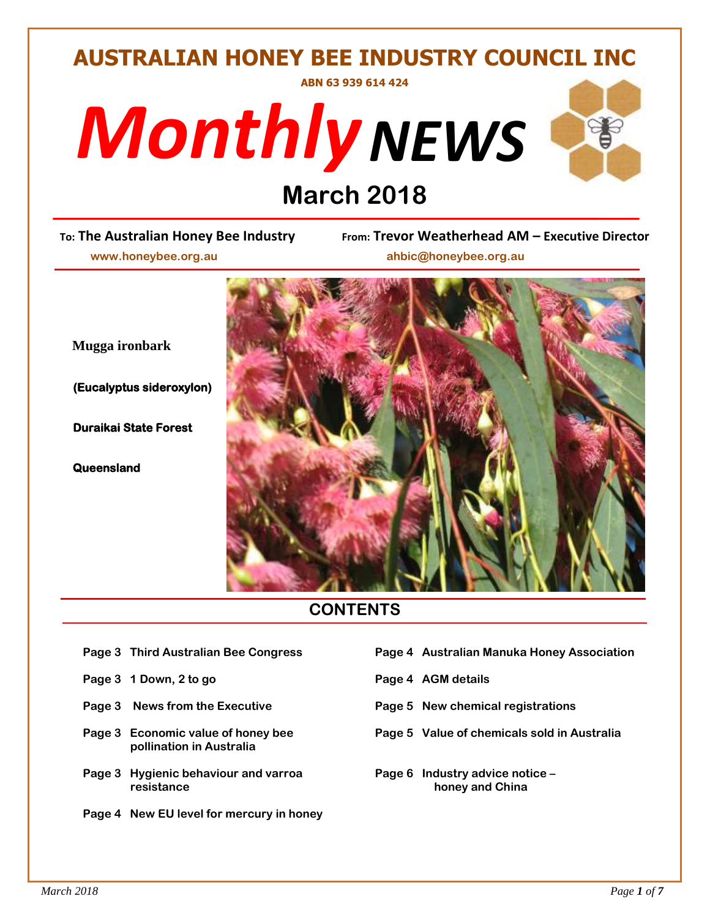## **AUSTRALIAN HONEY BEE INDUSTRY COUNCIL INC ABN 63 939 614 424**





# **DEPENDENT COMPOSED SET ON THE PROPENDISH PROPENDISH NO**<br> *Prom*: Trevor Wear

 **www.honeybee.org.au ahbic@honeybee.org.au**

 **Mugga ironbark**

 **Duraikai State Forest** 

 **Queensland** 

**To: The Australian Honey Bee Industry From: Trevor Weatherhead AM – Executive Director**



## **CONTENTS**

- 
- Page 3 1 Down, 2 to go **Page 4 AGM details**
- 
- **pollination in Australia**
- **Page 3** Hygienic behaviour and varroa **Page 6** Industry advice notice *resistance resistance <b><i>noney* **and China**
- **Page 4 New EU level for mercury in honey**
- **Page 3 Third Australian Bee Congress Page 4 Australian Manuka Honey Association**
	-
- **Page 3 News from the Executive Page 5 New chemical registrations**
- **Page 3 Economic value of honey bee Page 5 Value of chemicals sold in Australia**
	-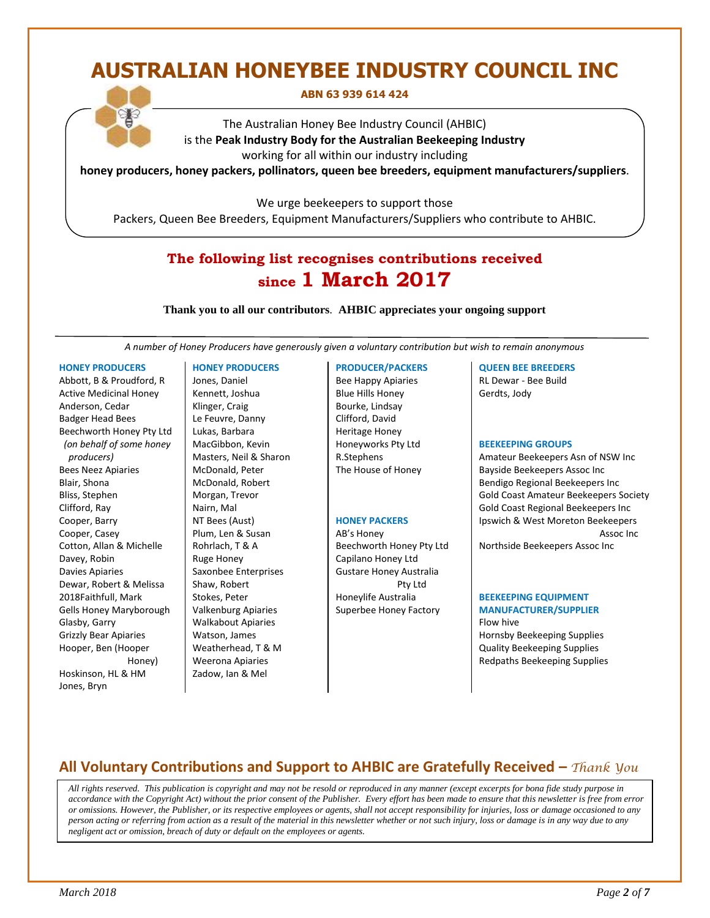## **AUSTRALIAN HONEYBEE INDUSTRY COUNCIL INC**

#### **ABN 63 939 614 424**

The Australian Honey Bee Industry Council (AHBIC) is the **Peak Industry Body for the Australian Beekeeping Industry** working for all within our industry including

**honey producers, honey packers, pollinators, queen bee breeders, equipment manufacturers/suppliers**.

We urge beekeepers to support those

Packers, Queen Bee Breeders, Equipment Manufacturers/Suppliers who contribute to AHBIC.

## **The following list recognises contributions received since 1 March 2017**

**Thank you to all our contributors***.* **AHBIC appreciates your ongoing support**

*A number of Honey Producers have generously given a voluntary contribution but wish to remain anonymous*

#### **HONEY PRODUCERS**

Abbott, B & Proudford, R Active Medicinal Honey Anderson, Cedar Badger Head Bees Beechworth Honey Pty Ltd *(on behalf of some honey producers)* Bees Neez Apiaries Blair, Shona Bliss, Stephen Clifford, Ray Cooper, Barry Cooper, Casey Cotton, Allan & Michelle Davey, Robin Davies Apiaries Dewar, Robert & Melissa 2018Faithfull, Mark Gells Honey Maryborough Glasby, Garry Grizzly Bear Apiaries Hooper, Ben (Hooper Honey) Hoskinson, HL & HM Jones, Bryn

#### **HONEY PRODUCERS**

Jones, Daniel Kennett, Joshua Klinger, Craig Le Feuvre, Danny Lukas, Barbara MacGibbon, Kevin Masters, Neil & Sharon McDonald, Peter McDonald, Robert Morgan, Trevor Nairn, Mal NT Bees (Aust) Plum, Len & Susan Rohrlach, T & A Ruge Honey Saxonbee Enterprises Shaw, Robert Stokes, Peter Valkenburg Apiaries Walkabout Apiaries Watson, James Weatherhead, T & M Weerona Apiaries Zadow, Ian & Mel

#### **PRODUCER/PACKERS**

Bee Happy Apiaries Blue Hills Honey Bourke, Lindsay Clifford, David Heritage Honey Honeyworks Pty Ltd R.Stephens The House of Honey

#### **HONEY PACKERS**

AB's Honey Beechworth Honey Pty Ltd Capilano Honey Ltd Gustare Honey Australia Pty Ltd Honeylife Australia Superbee Honey Factory

#### **QUEEN BEE BREEDERS**

RL Dewar - Bee Build Gerdts, Jody

#### **BEEKEEPING GROUPS**

Amateur Beekeepers Asn of NSW Inc Bayside Beekeepers Assoc Inc Bendigo Regional Beekeepers Inc Gold Coast Amateur Beekeepers Society Gold Coast Regional Beekeepers Inc Ipswich & West Moreton Beekeepers Assoc Inc

Northside Beekeepers Assoc Inc

#### **BEEKEEPING EQUIPMENT MANUFACTURER/SUPPLIER**

Flow hive Hornsby Beekeeping Supplies Quality Beekeeping Supplies Redpaths Beekeeping Supplies

## **All Voluntary Contributions and Support to AHBIC are Gratefully Received –** *Thank You*

 *All rights reserved. This publication is copyright and may not be resold or reproduced in any manner (except excerpts for bona fide study purpose in accordance with the Copyright Act) without the prior consent of the Publisher. Every effort has been made to ensure that this newsletter is free from error or omissions. However, the Publisher, or its respective employees or agents, shall not accept responsibility for injuries, loss or damage occasioned to any person acting or referring from action as a result of the material in this newsletter whether or not such injury, loss or damage is in any way due to any negligent act or omission, breach of duty or default on the employees or agents.*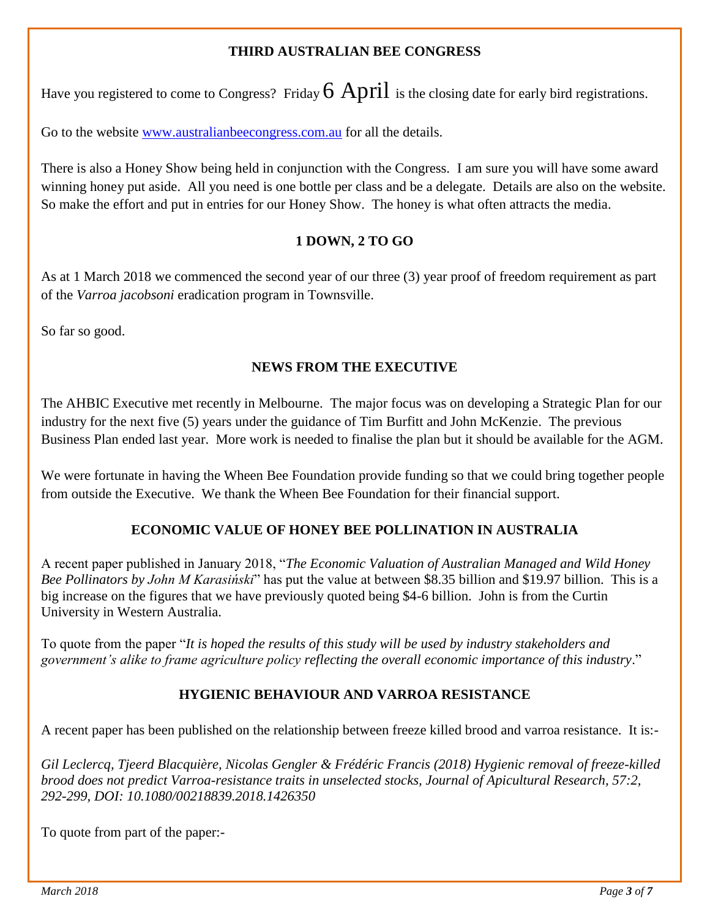## **THIRD AUSTRALIAN BEE CONGRESS**

Have you registered to come to Congress? Friday  $6$  April is the closing date for early bird registrations.

Go to the website [www.australianbeecongress.com.au](http://www.australianbeecongress.com.au/) for all the details.

There is also a Honey Show being held in conjunction with the Congress. I am sure you will have some award winning honey put aside. All you need is one bottle per class and be a delegate. Details are also on the website. So make the effort and put in entries for our Honey Show. The honey is what often attracts the media.

## **1 DOWN, 2 TO GO**

As at 1 March 2018 we commenced the second year of our three (3) year proof of freedom requirement as part of the *Varroa jacobsoni* eradication program in Townsville.

So far so good.

#### **NEWS FROM THE EXECUTIVE**

The AHBIC Executive met recently in Melbourne. The major focus was on developing a Strategic Plan for our industry for the next five (5) years under the guidance of Tim Burfitt and John McKenzie. The previous Business Plan ended last year. More work is needed to finalise the plan but it should be available for the AGM.

We were fortunate in having the Wheen Bee Foundation provide funding so that we could bring together people from outside the Executive. We thank the Wheen Bee Foundation for their financial support.

## **ECONOMIC VALUE OF HONEY BEE POLLINATION IN AUSTRALIA**

A recent paper published in January 2018, "*The Economic Valuation of Australian Managed and Wild Honey Bee Pollinators by John M Karasiński*" has put the value at between \$8.35 billion and \$19.97 billion. This is a big increase on the figures that we have previously quoted being \$4-6 billion. John is from the Curtin University in Western Australia.

To quote from the paper "*It is hoped the results of this study will be used by industry stakeholders and government's alike to frame agriculture policy reflecting the overall economic importance of this industry*."

## **HYGIENIC BEHAVIOUR AND VARROA RESISTANCE**

A recent paper has been published on the relationship between freeze killed brood and varroa resistance. It is:-

*Gil Leclercq, Tjeerd Blacquière, Nicolas Gengler & Frédéric Francis (2018) Hygienic removal of freeze-killed brood does not predict Varroa-resistance traits in unselected stocks, Journal of Apicultural Research, 57:2, 292-299, DOI: 10.1080/00218839.2018.1426350*

To quote from part of the paper:-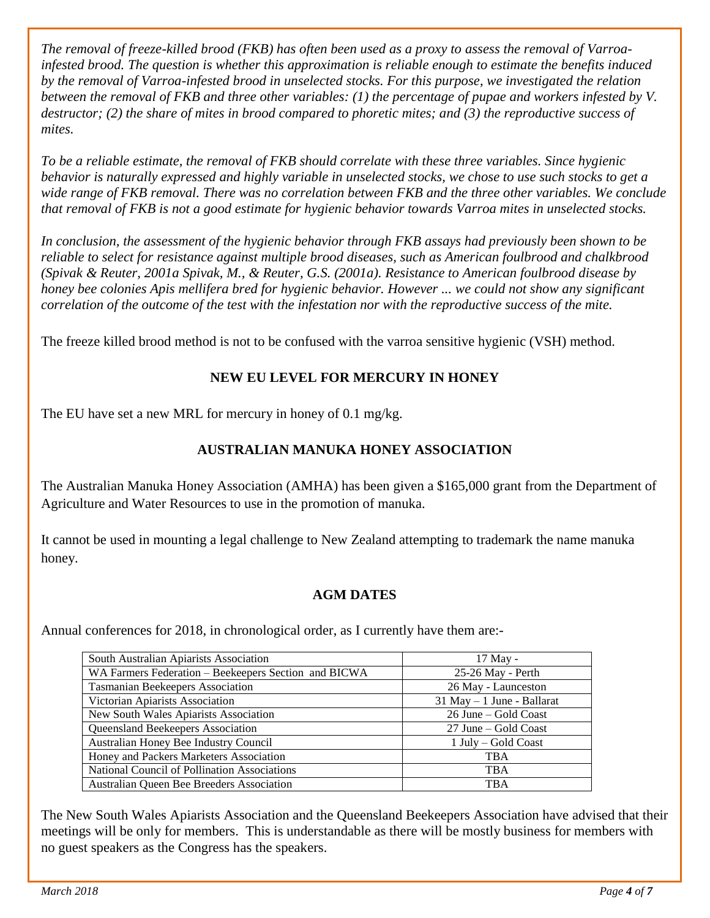*The removal of freeze-killed brood (FKB) has often been used as a proxy to assess the removal of Varroainfested brood. The question is whether this approximation is reliable enough to estimate the benefits induced by the removal of Varroa-infested brood in unselected stocks. For this purpose, we investigated the relation between the removal of FKB and three other variables: (1) the percentage of pupae and workers infested by V. destructor; (2) the share of mites in brood compared to phoretic mites; and (3) the reproductive success of mites.* 

*To be a reliable estimate, the removal of FKB should correlate with these three variables. Since hygienic behavior is naturally expressed and highly variable in unselected stocks, we chose to use such stocks to get a wide range of FKB removal. There was no correlation between FKB and the three other variables. We conclude that removal of FKB is not a good estimate for hygienic behavior towards Varroa mites in unselected stocks.*

*In conclusion, the assessment of the hygienic behavior through FKB assays had previously been shown to be reliable to select for resistance against multiple brood diseases, such as American foulbrood and chalkbrood (Spivak & Reuter, 2001a Spivak, M., & Reuter, G.S. (2001a). Resistance to American foulbrood disease by honey bee colonies Apis mellifera bred for hygienic behavior. However ... we could not show any significant correlation of the outcome of the test with the infestation nor with the reproductive success of the mite.*

The freeze killed brood method is not to be confused with the varroa sensitive hygienic (VSH) method.

## **NEW EU LEVEL FOR MERCURY IN HONEY**

The EU have set a new MRL for mercury in honey of 0.1 mg/kg.

## **AUSTRALIAN MANUKA HONEY ASSOCIATION**

The Australian Manuka Honey Association (AMHA) has been given a \$165,000 grant from the Department of Agriculture and Water Resources to use in the promotion of manuka.

It cannot be used in mounting a legal challenge to New Zealand attempting to trademark the name manuka honey.

## **AGM DATES**

Annual conferences for 2018, in chronological order, as I currently have them are:-

| South Australian Apiarists Association                                    | 17 May -                      |  |
|---------------------------------------------------------------------------|-------------------------------|--|
| 25-26 May - Perth<br>WA Farmers Federation – Beekeepers Section and BICWA |                               |  |
| Tasmanian Beekeepers Association                                          | 26 May - Launceston           |  |
| Victorian Apiarists Association                                           | $31$ May $-1$ June - Ballarat |  |
| New South Wales Apiarists Association                                     | 26 June – Gold Coast          |  |
| <b>Queensland Beekeepers Association</b>                                  | 27 June – Gold Coast          |  |
| Australian Honey Bee Industry Council                                     | 1 July – Gold Coast           |  |
| Honey and Packers Marketers Association                                   | <b>TBA</b>                    |  |
| National Council of Pollination Associations                              | <b>TBA</b>                    |  |
| Australian Queen Bee Breeders Association                                 | <b>TBA</b>                    |  |

The New South Wales Apiarists Association and the Queensland Beekeepers Association have advised that their meetings will be only for members. This is understandable as there will be mostly business for members with no guest speakers as the Congress has the speakers.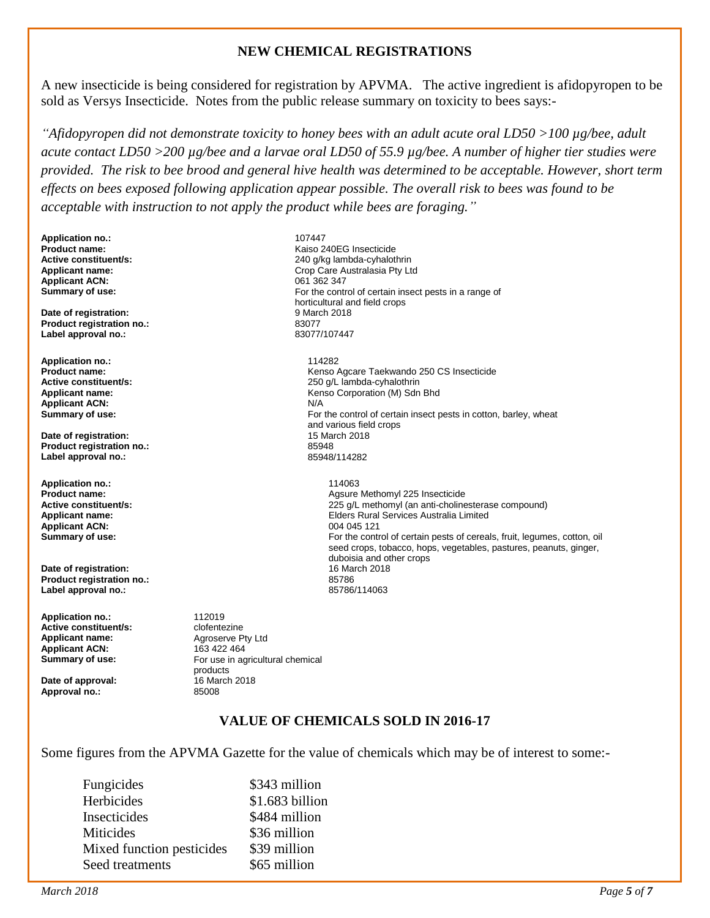#### **NEW CHEMICAL REGISTRATIONS**

A new insecticide is being considered for registration by APVMA. The active ingredient is afidopyropen to be sold as Versys Insecticide. Notes from the public release summary on toxicity to bees says:-

*"Afidopyropen did not demonstrate toxicity to honey bees with an adult acute oral LD50 >100 µg/bee, adult acute contact LD50 >200 µg/bee and a larvae oral LD50 of 55.9 µg/bee. A number of higher tier studies were provided. The risk to bee brood and general hive health was determined to be acceptable. However, short term effects on bees exposed following application appear possible. The overall risk to bees was found to be acceptable with instruction to not apply the product while bees are foraging."*

**Application no.:** 107447 **Applicant ACN:**<br>Summary of use:

**Date of registration: Product registration no.:** 83077 **Label approval no.:** 

**Application no.:** 114282 **Applicant ACN:** N/A<br> **Summary of use:** For

**Date of registration:** 15 Mai<br> **Product registration no.:** 25948 **Product registration no.:** 85948 **Label approval no.:** 

**Application no.:** 114063 **Applicant ACN:**<br>Summary of use:

**Date of registration:** 16 March 2018 **Product registration no.:** 85786 Label approval no.:

**Application no.: 112019**<br> **Active constituent/s: Clotentezine Active constituent/s: Applicant name:** Agroserve Pty Ltd **Applicant ACN:** 163 422 464<br> **Summary of use:** For use in a

**Date of approval:** 16 March 2018<br> **Approval no.:** 85008 Approval no.:

**Product name:**<br> **Active constituent/s:**<br> **Active constituent/s:**<br> **Active constituent/s:**<br> **Active constituent/s: Active constituent/s:** <br>**Applicant name:** <br>**Applicant name:** <br>**Applicant name:** <br>**Crop Care Australasia Ptv Lt** Crop Care Australasia Pty Ltd<br>061 362 347 For the control of certain insect pests in a range of horticultural and field crops<br>9 March 2018

**Product name: Product name: Research COVIDENT COVIDENT COVIDENT** Extension Agriculture COVIDENT COVIDENT COVID<br>
250 a/L lambda-cyhalothrin **Active constituent/s:** <br> **Applicant name:** <br> **Applicant name:** <br> **Applicant name:** <br> **Applicant name:** <br> **Applicant name:** <br> **Applicant name:** <br> **Applicant name:** <br> **Applicant name:** <br> **Applicant name:** <br> **Applicant name:** Kenso Corporation (M) Sdn Bhd For the control of certain insect pests in cotton, barley, wheat and various field crops<br>15 March 2018

**Product name: Agsure Methomyl 225 Insecticide**<br> **Active constituent/s:** 225 **Active constituent/s:** 225 **Active constituent/s:** 225 **Active constituent/s Active constituent/s: Active constituent/s:** 225 g/L methomyl (an anti-cholinesterase compound)<br> **Applicant name:** Elders Rural Services Australia Limited Elders Rural Services Australia Limited<br>004 045 121 For the control of certain pests of cereals, fruit, legumes, cotton, oil seed crops, tobacco, hops, vegetables, pastures, peanuts, ginger, duboisia and other crops<br>16 March 2018

> For use in agricultural chemical products

#### **VALUE OF CHEMICALS SOLD IN 2016-17**

Some figures from the APVMA Gazette for the value of chemicals which may be of interest to some:-

| \$343 million   |
|-----------------|
| \$1.683 billion |
| \$484 million   |
| \$36 million    |
| \$39 million    |
| \$65 million    |
|                 |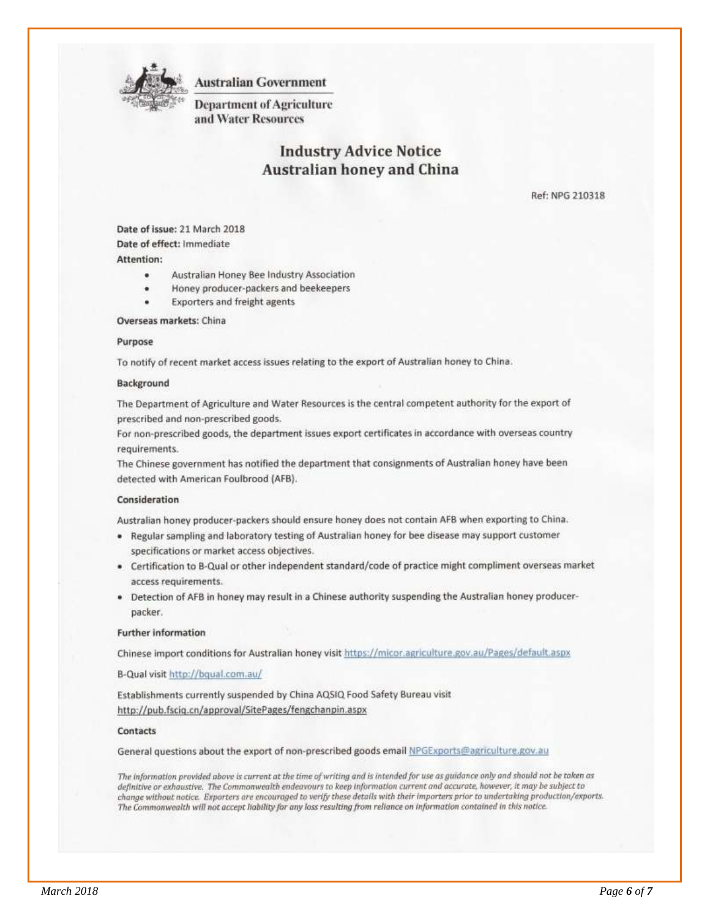

**Australian Government** 

**Department of Agriculture** and Water Resources

## **Industry Advice Notice Australian honey and China**

Ref: NPG 210318

Date of issue: 21 March 2018 Date of effect: Immediate Attention:

- Australian Honey Bee Industry Association
- Honey producer-packers and beekeepers
- **Exporters and freight agents**

Overseas markets: China

#### Purpose

To notify of recent market access issues relating to the export of Australian honey to China.

#### Background

The Department of Agriculture and Water Resources is the central competent authority for the export of prescribed and non-prescribed goods.

For non-prescribed goods, the department issues export certificates in accordance with overseas country requirements.

The Chinese government has notified the department that consignments of Australian honey have been detected with American Foulbrood (AFB).

#### Consideration

Australian honey producer-packers should ensure honey does not contain AFB when exporting to China.

- . Regular sampling and laboratory testing of Australian honey for bee disease may support customer specifications or market access objectives.
- Certification to B-Qual or other independent standard/code of practice might compliment overseas market access requirements.
- . Detection of AFB in honey may result in a Chinese authority suspending the Australian honey producerpacker.

#### **Further information**

Chinese import conditions for Australian honey visit https://micor.agriculture.gov.au/Pages/default.aspx

B-Qual visit http://bqual.com.au/

Establishments currently suspended by China AQSIQ Food Safety Bureau visit http://pub.fsciq.cn/approval/SitePages/fengchanpin.aspx

#### Contacts

General questions about the export of non-prescribed goods email NPGExports@agriculture.gov.au

The information provided above is current at the time of writing and is intended for use as guidance only and should not be taken as definitive or exhaustive. The Commonwealth endeavours to keep information current and accurate, however, it may be subject to change without notice. Exporters are encouraged to verify these details with their importers prior to undertaking production/exports. The Commonwealth will not accept liability for any loss resulting from reliance on information contained in this notice.